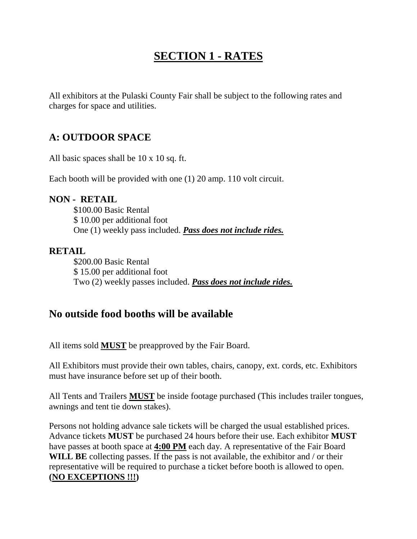## **SECTION 1 - RATES**

All exhibitors at the Pulaski County Fair shall be subject to the following rates and charges for space and utilities.

### **A: OUTDOOR SPACE**

All basic spaces shall be 10 x 10 sq. ft.

Each booth will be provided with one (1) 20 amp. 110 volt circuit.

#### **NON - RETAIL**

\$100.00 Basic Rental \$ 10.00 per additional foot One (1) weekly pass included. *Pass does not include rides.*

#### **RETAIL**

\$200.00 Basic Rental \$ 15.00 per additional foot Two (2) weekly passes included. *Pass does not include rides.*

### **No outside food booths will be available**

All items sold **MUST** be preapproved by the Fair Board.

All Exhibitors must provide their own tables, chairs, canopy, ext. cords, etc. Exhibitors must have insurance before set up of their booth.

All Tents and Trailers **MUST** be inside footage purchased (This includes trailer tongues, awnings and tent tie down stakes).

Persons not holding advance sale tickets will be charged the usual established prices. Advance tickets **MUST** be purchased 24 hours before their use. Each exhibitor **MUST** have passes at booth space at **4:00 PM** each day. A representative of the Fair Board WILL BE collecting passes. If the pass is not available, the exhibitor and / or their representative will be required to purchase a ticket before booth is allowed to open. **(NO EXCEPTIONS !!!)**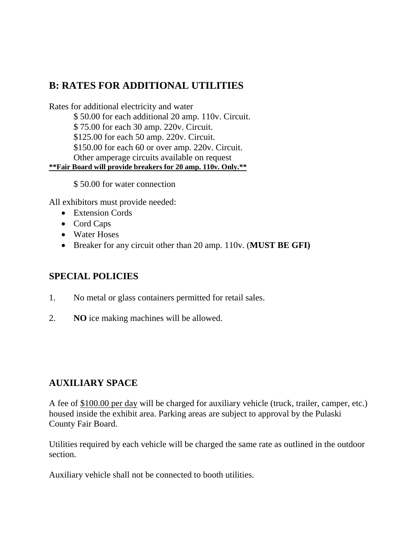### **B: RATES FOR ADDITIONAL UTILITIES**

Rates for additional electricity and water \$ 50.00 for each additional 20 amp. 110v. Circuit. \$ 75.00 for each 30 amp. 220v. Circuit. \$125.00 for each 50 amp. 220v. Circuit. \$150.00 for each 60 or over amp. 220v. Circuit. Other amperage circuits available on request **\*\*Fair Board will provide breakers for 20 amp. 110v. Only.\*\***

\$ 50.00 for water connection

All exhibitors must provide needed:

- Extension Cords
- Cord Caps
- Water Hoses
- Breaker for any circuit other than 20 amp. 110v. (**MUST BE GFI)**

### **SPECIAL POLICIES**

- 1. No metal or glass containers permitted for retail sales.
- 2. **NO** ice making machines will be allowed.

### **AUXILIARY SPACE**

A fee of \$100.00 per day will be charged for auxiliary vehicle (truck, trailer, camper, etc.) housed inside the exhibit area. Parking areas are subject to approval by the Pulaski County Fair Board.

Utilities required by each vehicle will be charged the same rate as outlined in the outdoor section.

Auxiliary vehicle shall not be connected to booth utilities.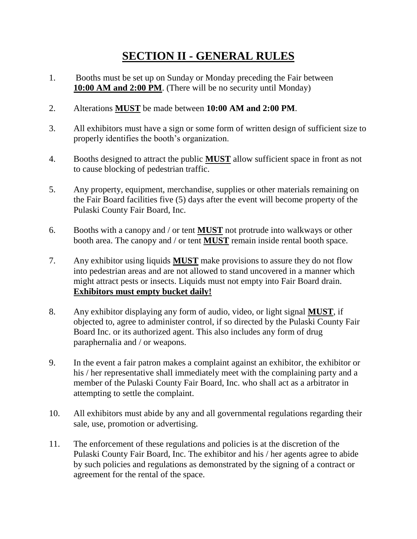## **SECTION II - GENERAL RULES**

- 1. Booths must be set up on Sunday or Monday preceding the Fair between **10:00 AM and 2:00 PM**. (There will be no security until Monday)
- 2. Alterations **MUST** be made between **10:00 AM and 2:00 PM**.
- 3. All exhibitors must have a sign or some form of written design of sufficient size to properly identifies the booth's organization.
- 4. Booths designed to attract the public **MUST** allow sufficient space in front as not to cause blocking of pedestrian traffic.
- 5. Any property, equipment, merchandise, supplies or other materials remaining on the Fair Board facilities five (5) days after the event will become property of the Pulaski County Fair Board, Inc.
- 6. Booths with a canopy and / or tent **MUST** not protrude into walkways or other booth area. The canopy and / or tent **MUST** remain inside rental booth space.
- 7. Any exhibitor using liquids **MUST** make provisions to assure they do not flow into pedestrian areas and are not allowed to stand uncovered in a manner which might attract pests or insects. Liquids must not empty into Fair Board drain. **Exhibitors must empty bucket daily!**
- 8. Any exhibitor displaying any form of audio, video, or light signal **MUST**, if objected to, agree to administer control, if so directed by the Pulaski County Fair Board Inc. or its authorized agent. This also includes any form of drug paraphernalia and / or weapons.
- 9. In the event a fair patron makes a complaint against an exhibitor, the exhibitor or his / her representative shall immediately meet with the complaining party and a member of the Pulaski County Fair Board, Inc. who shall act as a arbitrator in attempting to settle the complaint.
- 10. All exhibitors must abide by any and all governmental regulations regarding their sale, use, promotion or advertising.
- 11. The enforcement of these regulations and policies is at the discretion of the Pulaski County Fair Board, Inc. The exhibitor and his / her agents agree to abide by such policies and regulations as demonstrated by the signing of a contract or agreement for the rental of the space.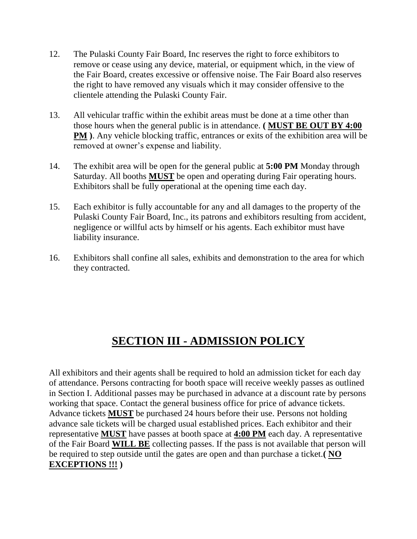- 12. The Pulaski County Fair Board, Inc reserves the right to force exhibitors to remove or cease using any device, material, or equipment which, in the view of the Fair Board, creates excessive or offensive noise. The Fair Board also reserves the right to have removed any visuals which it may consider offensive to the clientele attending the Pulaski County Fair.
- 13. All vehicular traffic within the exhibit areas must be done at a time other than those hours when the general public is in attendance. **( MUST BE OUT BY 4:00 PM**). Any vehicle blocking traffic, entrances or exits of the exhibition area will be removed at owner's expense and liability.
- 14. The exhibit area will be open for the general public at **5:00 PM** Monday through Saturday. All booths **MUST** be open and operating during Fair operating hours. Exhibitors shall be fully operational at the opening time each day.
- 15. Each exhibitor is fully accountable for any and all damages to the property of the Pulaski County Fair Board, Inc., its patrons and exhibitors resulting from accident, negligence or willful acts by himself or his agents. Each exhibitor must have liability insurance.
- 16. Exhibitors shall confine all sales, exhibits and demonstration to the area for which they contracted.

# **SECTION III - ADMISSION POLICY**

All exhibitors and their agents shall be required to hold an admission ticket for each day of attendance. Persons contracting for booth space will receive weekly passes as outlined in Section I. Additional passes may be purchased in advance at a discount rate by persons working that space. Contact the general business office for price of advance tickets. Advance tickets **MUST** be purchased 24 hours before their use. Persons not holding advance sale tickets will be charged usual established prices. Each exhibitor and their representative **MUST** have passes at booth space at **4:00 PM** each day. A representative of the Fair Board **WILL BE** collecting passes. If the pass is not available that person will be required to step outside until the gates are open and than purchase a ticket.**( NO EXCEPTIONS !!! )**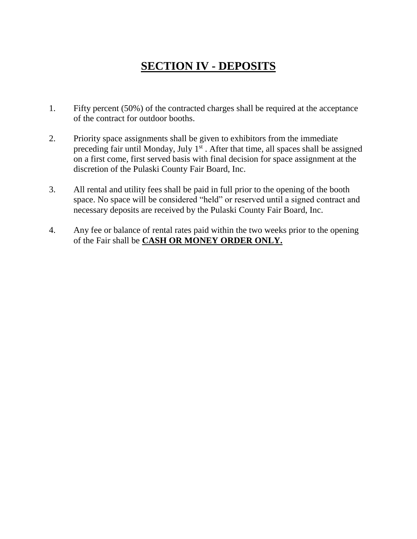# **SECTION IV - DEPOSITS**

- 1. Fifty percent (50%) of the contracted charges shall be required at the acceptance of the contract for outdoor booths.
- 2. Priority space assignments shall be given to exhibitors from the immediate preceding fair until Monday, July  $1<sup>st</sup>$ . After that time, all spaces shall be assigned on a first come, first served basis with final decision for space assignment at the discretion of the Pulaski County Fair Board, Inc.
- 3. All rental and utility fees shall be paid in full prior to the opening of the booth space. No space will be considered "held" or reserved until a signed contract and necessary deposits are received by the Pulaski County Fair Board, Inc.
- 4. Any fee or balance of rental rates paid within the two weeks prior to the opening of the Fair shall be **CASH OR MONEY ORDER ONLY.**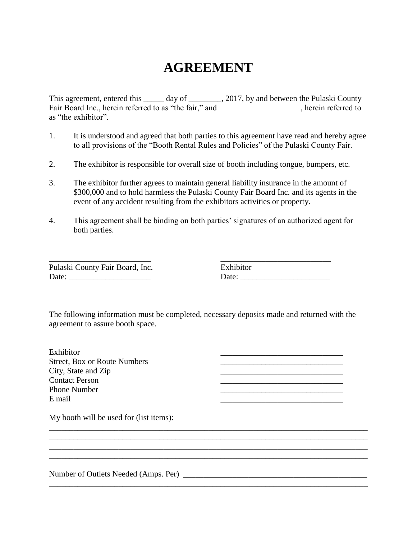# **AGREEMENT**

This agreement, entered this \_\_\_\_\_ day of \_\_\_\_\_\_\_\_, 2017, by and between the Pulaski County Fair Board Inc., herein referred to as "the fair," and \_\_\_\_\_\_\_\_\_\_\_\_\_\_\_, herein referred to as "the exhibitor".

- 1. It is understood and agreed that both parties to this agreement have read and hereby agree to all provisions of the "Booth Rental Rules and Policies" of the Pulaski County Fair.
- 2. The exhibitor is responsible for overall size of booth including tongue, bumpers, etc.
- 3. The exhibitor further agrees to maintain general liability insurance in the amount of \$300,000 and to hold harmless the Pulaski County Fair Board Inc. and its agents in the event of any accident resulting from the exhibitors activities or property.
- 4. This agreement shall be binding on both parties' signatures of an authorized agent for both parties.

Pulaski County Fair Board, Inc. Date: \_\_\_\_\_\_\_\_\_\_\_\_\_\_\_\_\_\_\_\_

\_\_\_\_\_\_\_\_\_\_\_\_\_\_\_\_\_\_\_\_\_\_\_\_\_

| Exhibitor |  |  |
|-----------|--|--|
| Date:     |  |  |

\_\_\_\_\_\_\_\_\_\_\_\_\_\_\_\_\_\_\_\_\_\_\_\_\_\_\_\_\_\_

\_\_\_\_\_\_\_\_\_\_\_\_\_\_\_\_\_\_\_\_\_\_\_\_\_\_\_\_\_\_ \_\_\_\_\_\_\_\_\_\_\_\_\_\_\_\_\_\_\_\_\_\_\_\_\_\_\_\_\_\_

The following information must be completed, necessary deposits made and returned with the agreement to assure booth space.

\_\_\_\_\_\_\_\_\_\_\_\_\_\_\_\_\_\_\_\_\_\_\_\_\_\_\_\_\_\_\_\_\_\_\_\_\_\_\_\_\_\_\_\_\_\_\_\_\_\_\_\_\_\_\_\_\_\_\_\_\_\_\_\_\_\_\_\_\_\_\_\_\_\_\_\_\_\_

\_\_\_\_\_\_\_\_\_\_\_\_\_\_\_\_\_\_\_\_\_\_\_\_\_\_\_\_\_\_\_\_\_\_\_\_\_\_\_\_\_\_\_\_\_\_\_\_\_\_\_\_\_\_\_\_\_\_\_\_\_\_\_\_\_\_\_\_\_\_\_\_\_\_\_\_\_\_

\_\_\_\_\_\_\_\_\_\_\_\_\_\_\_\_\_\_\_\_\_\_\_\_\_\_\_\_\_\_\_\_\_\_\_\_\_\_\_\_\_\_\_\_\_\_\_\_\_\_\_\_\_\_\_\_\_\_\_\_\_\_\_\_\_\_\_\_\_\_\_\_\_\_\_\_\_\_

 $\mathcal{L}_\mathcal{L} = \{ \mathcal{L}_\mathcal{L} = \{ \mathcal{L}_\mathcal{L} = \{ \mathcal{L}_\mathcal{L} = \{ \mathcal{L}_\mathcal{L} = \{ \mathcal{L}_\mathcal{L} = \{ \mathcal{L}_\mathcal{L} = \{ \mathcal{L}_\mathcal{L} = \{ \mathcal{L}_\mathcal{L} = \{ \mathcal{L}_\mathcal{L} = \{ \mathcal{L}_\mathcal{L} = \{ \mathcal{L}_\mathcal{L} = \{ \mathcal{L}_\mathcal{L} = \{ \mathcal{L}_\mathcal{L} = \{ \mathcal{L}_\mathcal{$ 

Exhibitor Street, Box or Route Numbers City, State and Zip Contact Person Phone Number E mail 22 22 22 23 24 25 26 27 28 27 28 29 20 21 22 23 24 25 26 27 27 28 29 20 21 22 23 24 25 26 27 27 27 27 2

My booth will be used for (list items):

Number of Outlets Needed (Amps. Per) \_\_\_\_\_\_\_\_\_\_\_\_\_\_\_\_\_\_\_\_\_\_\_\_\_\_\_\_\_\_\_\_\_\_\_\_\_\_\_\_\_\_\_\_\_